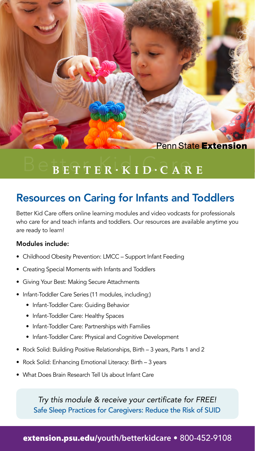**Penn State Extension** 

# $B$  E T T E R  $\cdot$  K I D  $\cdot$  C A R E

## Resources on Caring for Infants and Toddlers

Better Kid Care offers online learning modules and video vodcasts for professionals who care for and teach infants and toddlers. Our resources are available anytime you are ready to learn!

#### Modules include:

- Childhood Obesity Prevention: LMCC Support Infant Feeding
- Creating Special Moments with Infants and Toddlers
- Giving Your Best: Making Secure Attachments
- Infant-Toddler Care Series (11 modules, including:)
	- Infant-Toddler Care: Guiding Behavior
	- Infant-Toddler Care: Healthy Spaces
	- Infant-Toddler Care: Partnerships with Families
	- Infant-Toddler Care: Physical and Cognitive Development
- Rock Solid: Building Positive Relationships, Birth 3 years, Parts 1 and 2
- Rock Solid: Enhancing Emotional Literacy: Birth 3 years
- What Does Brain Research Tell Us about Infant Care

*Try this module & receive your certificate for FREE!* Safe Sleep Practices for Caregivers: Reduce the Risk of SUID

### [extension.psu.edu/](http://extension.psu.edu/youth/betterkidcare)**youth/betterkidcare** • 800-452-9108